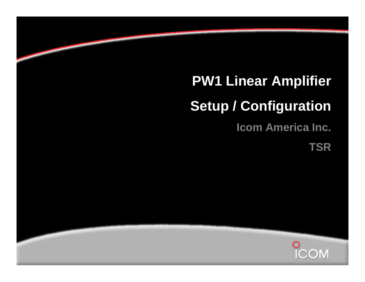# **PW1 Linear Amplifier**

### **Setup / Configuration**

**Icom America Inc.**

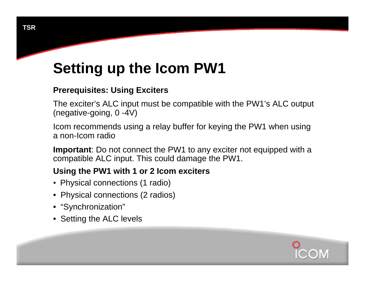## **Setting up the Icom PW1**

#### **Prerequisites: Using Exciters**

The exciter's ALC input must be compatible with the PW1's ALC output (negative-going, 0 -4V)

Icom recommends using a relay buffer for keying the PW1 when using a non-Icom radio

**Important**: Do not connect the PW1 to any exciter not equipped with a compatible ALC input. This could damage the PW1.

#### **Using the PW1 with 1 or 2 Icom exciters**

- Physical connections (1 radio)
- Physical connections (2 radios)
- "Synchronization"
- Setting the ALC levels

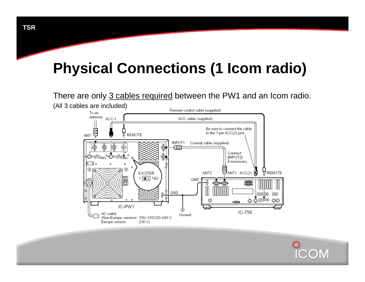#### There are only 3 cables required between the PW1 and an Icom radio.



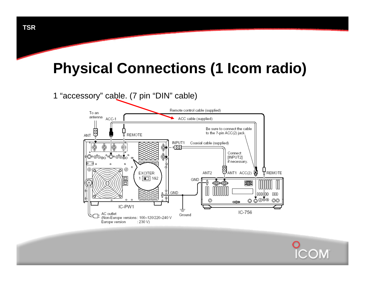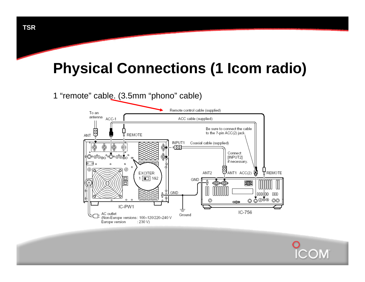

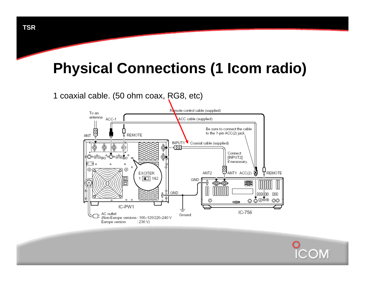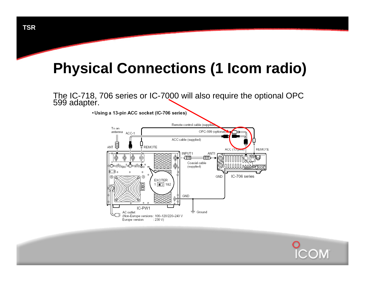The IC-718, 706 series or IC-7000 will also require the optional OPC 599 adapter.

• Using a 13-pin ACC socket (IC-706 series)



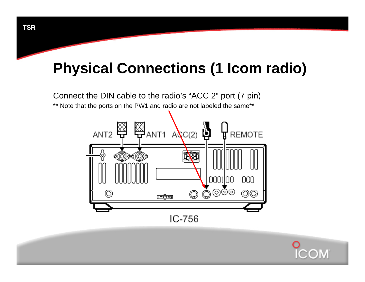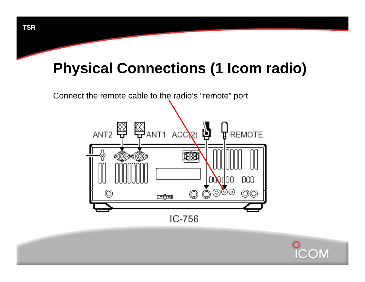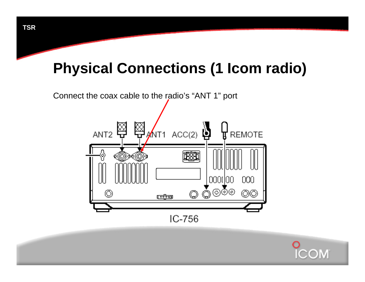

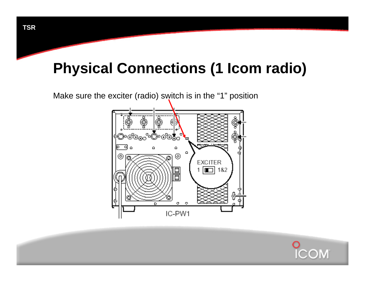

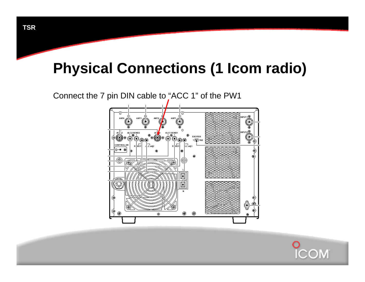

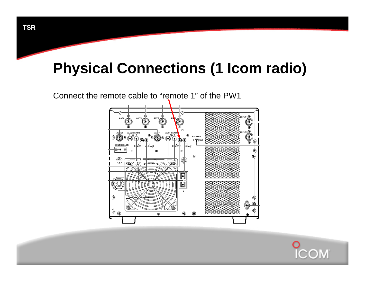

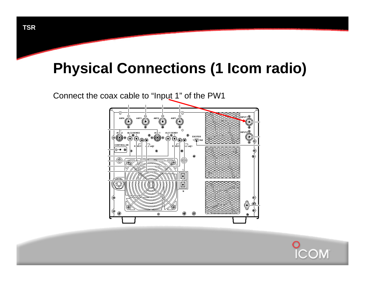

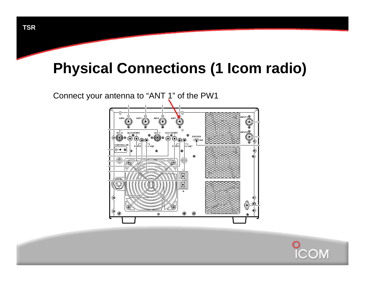

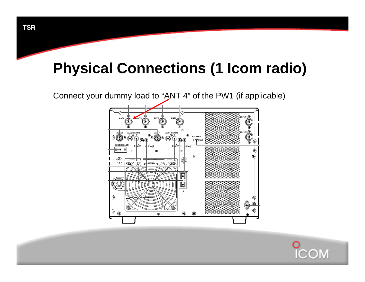

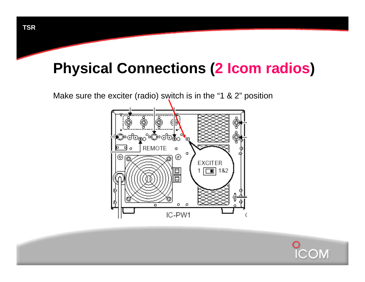

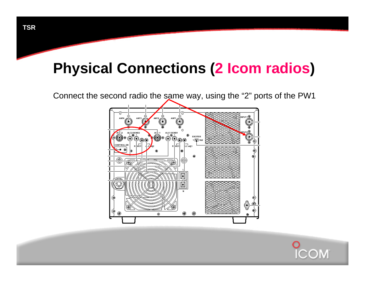



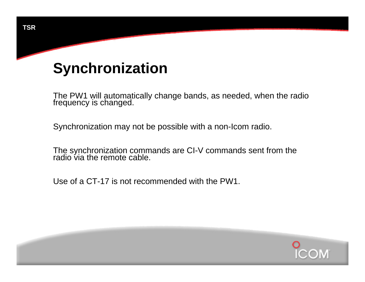The PW1 will automatically change bands, as needed, when the radio frequency is changed.

Synchronization may not be possible with a non-Icom radio.

The synchronization commands are CI-V commands sent from the<br>radio via the remote cable.

Use of a CT-17 is not recommended with the PW1.

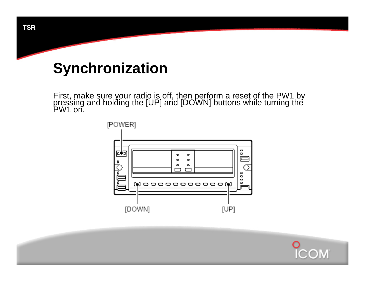First, make sure your radio is off, then perform a reset of the PW1 by pressing and holding the [UP] and [DOWN] buttons while turning the PW1 on.



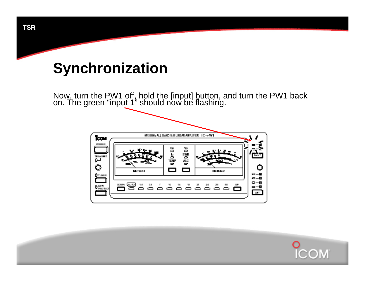Now, turn the PW1 off, hold the [input] button, and turn the PW1 back on. The green "input 1" should now be flashing.



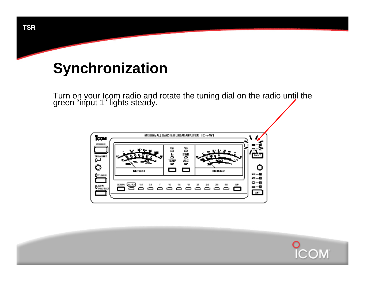Turn on your Icom radio and rotate the tuning dial on the radio until the green "input 1" lights steady.



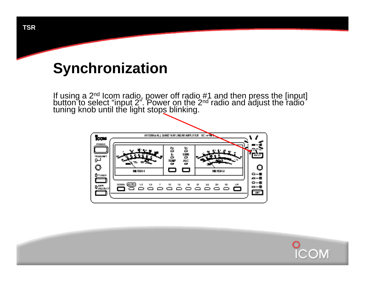If using a 2<sup>nd</sup> Icom radio, power off radio #1 and then press the [input] button to select "input 2". Power on the 2<sup>nd</sup> radio and adjust the radio tuning knob until the light stops blinking.



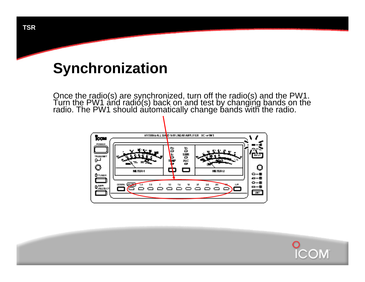Once the radio(s) are synchronized, turn off the radio(s) and the PW1. Turn the PW1 and radio(s) back on and test by changing bands on the radio. The PW1 should automatically change bands with the radio.



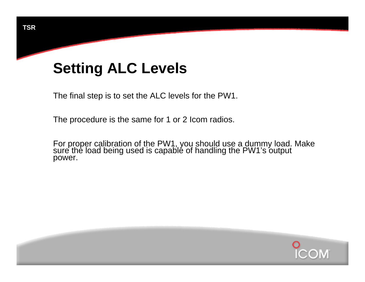The final step is to set the ALC levels for the PW1.

The procedure is the same for 1 or 2 Icom radios.

For proper calibration of the PW1, you should use a dummy load. Make sure the load being used is capable of handling the PW1's output power.

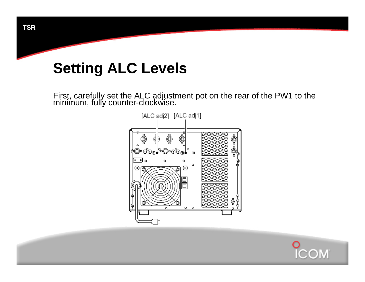First, carefully set the ALC adjustment pot on the rear of the PW1 to the minimum, fully counter-clockwise.



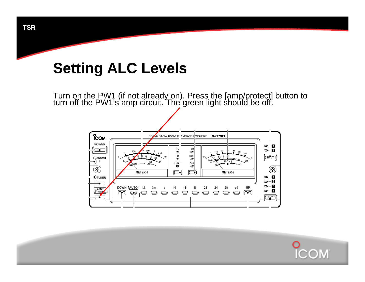Turn on the PW1 (if not already on). Press the [amp/protect] button to turn off the PW1's amp circuit. The green light should be off.



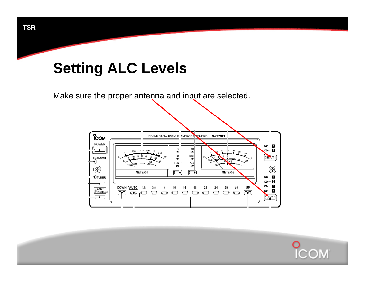Make sure the proper antenna and input are selected.



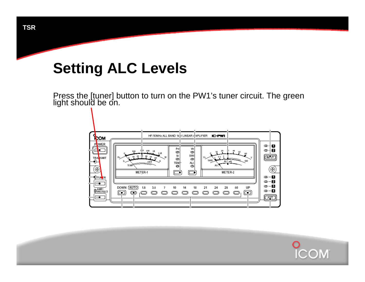Press the [tuner] button to turn on the PW1's tuner circuit. The green light should be on.



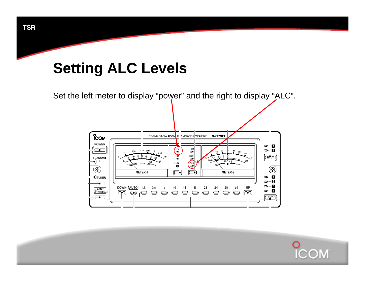Set the left meter to display "power" and the right to display "ALC".



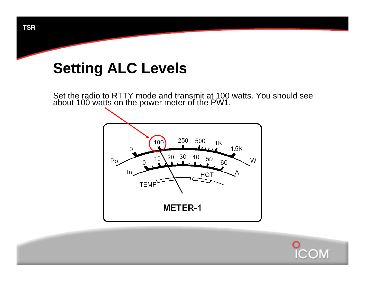Set the radio to RTTY mode and transmit at 100 watts. You should see about 100 watts on the power meter of the PW1.



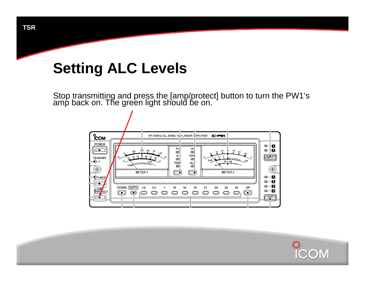Stop transmitting and press the [amp/protect] button to turn the PW1's amp back on. The green light should be on.



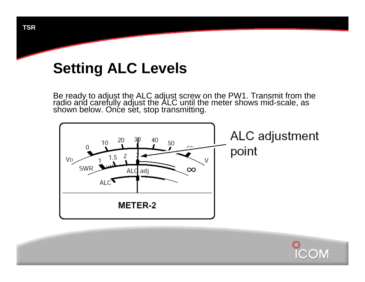Be ready to adjust the ALC adjust screw on the PW1. Transmit from the radio and carefully adjust the ALC until the meter shows mid-scale, as shown below. Once set, stop transmitting.



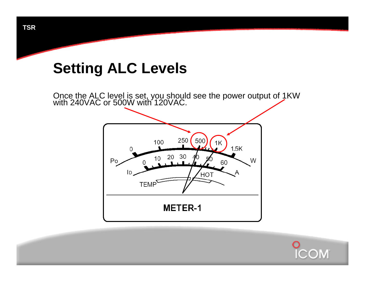